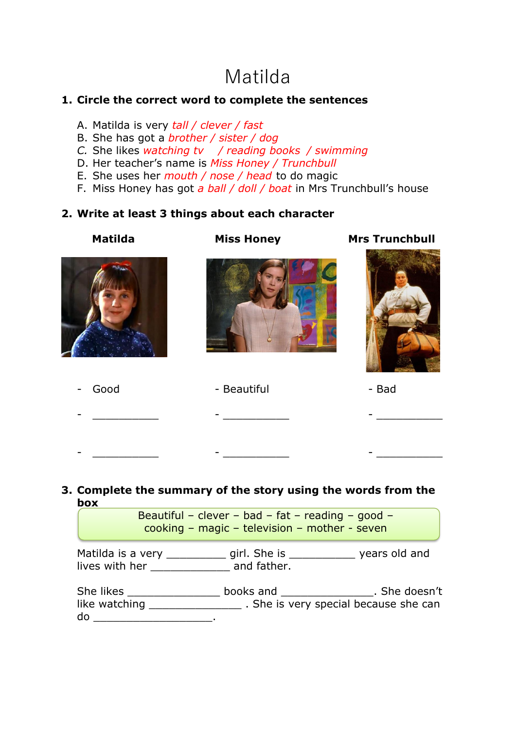## Matilda

## **1. Circle the correct word to complete the sentences**

- A. Matilda is very *tall / clever / fast*
- B. She has got a *brother / sister / dog*
- *C.* She likes *watching tv / reading books / swimming*
- D. Her teacher's name is *Miss Honey / Trunchbull*
- E. She uses her *mouth / nose / head* to do magic
- F. Miss Honey has got *a ball / doll / boat* in Mrs Trunchbull's house

## **2. Write at least 3 things about each character**

| <b>Matilda</b> | <b>Miss Honey</b> | <b>Mrs Trunchbull</b> |
|----------------|-------------------|-----------------------|
|                |                   |                       |
| Good<br>-      | - Beautiful       | - Bad                 |
|                |                   |                       |
|                |                   |                       |

## **3. Complete the summary of the story using the words from the box**

|                                            | Beautiful - clever - bad - fat - reading - good -<br>cooking - magic - television - mother - seven |                                                                            |
|--------------------------------------------|----------------------------------------------------------------------------------------------------|----------------------------------------------------------------------------|
| Matilda is a very ______<br>lives with her | girl. She is<br>and father.                                                                        | years old and                                                              |
| She likes<br>like watching                 |                                                                                                    | books and solution is the doesn't<br>. She is very special because she can |

do \_\_\_\_\_\_\_\_\_\_\_\_\_\_\_\_\_\_.